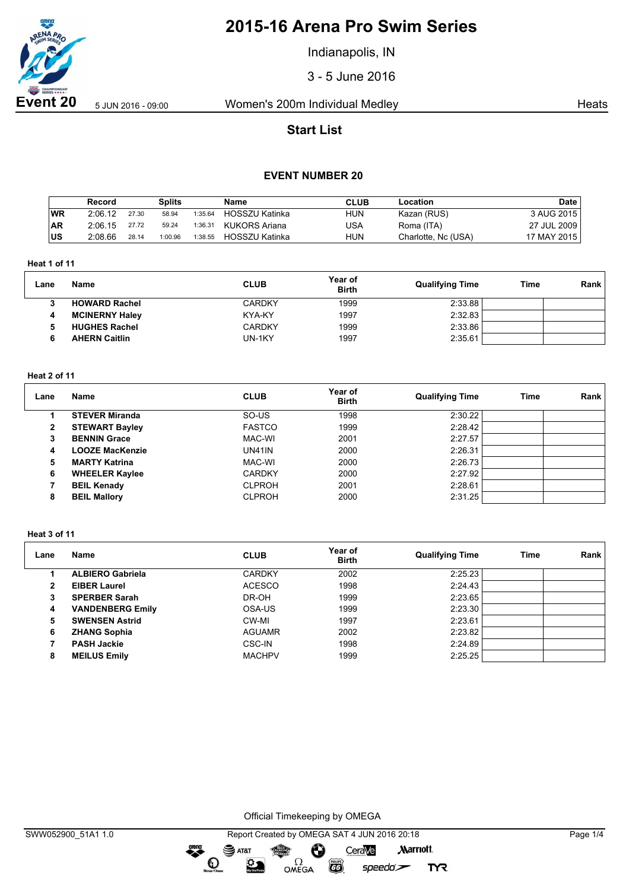

Indianapolis, IN

3 - 5 June 2016

**Event 20** 5 Jun 2016 - 09:00 Women's 200m Individual Medley Heats

# **Start List**

### **EVENT NUMBER 20**

|            | Record  |       | <b>Splits</b> |         | <b>Name</b>           | <b>CLUB</b> | Location            | <b>Date</b> |
|------------|---------|-------|---------------|---------|-----------------------|-------------|---------------------|-------------|
| WR         | 2:06.12 | 27.30 | 58.94         | 1:35.64 | <b>HOSSZU Katinka</b> | <b>HUN</b>  | Kazan (RUS)         | 3 AUG 2015  |
| <b>AR</b>  | 2:06.15 | 27.72 | 59.24         | 1:36.31 | KUKORS Ariana         | USA         | Roma (ITA)          | 27 JUL 2009 |
| <b>IUS</b> | 2:08.66 | 28.14 | 1:00.96       | 1:38.55 | HOSSZU Katinka        | <b>HUN</b>  | Charlotte, Nc (USA) | 17 MAY 2015 |

### **Heat 1 of 11**

| Lane | Name                  | <b>CLUB</b>   | <b>Year of</b><br><b>Birth</b> | <b>Qualifying Time</b> | Time | Rank |
|------|-----------------------|---------------|--------------------------------|------------------------|------|------|
|      | <b>HOWARD Rachel</b>  | <b>CARDKY</b> | 1999                           | 2:33.88                |      |      |
| 4    | <b>MCINERNY Haley</b> | KYA-KY        | 1997                           | 2:32.83                |      |      |
|      | <b>HUGHES Rachel</b>  | <b>CARDKY</b> | 1999                           | 2:33.86                |      |      |
|      | <b>AHERN Caitlin</b>  | UN-1KY        | 1997                           | 2:35.61                |      |      |

#### **Heat 2 of 11**

| Lane           | <b>Name</b>            | <b>CLUB</b>   | Year of<br><b>Birth</b> | <b>Qualifying Time</b> | Time | Rank |
|----------------|------------------------|---------------|-------------------------|------------------------|------|------|
|                | <b>STEVER Miranda</b>  | SO-US         | 1998                    | 2:30.22                |      |      |
| $\overline{2}$ | <b>STEWART Bayley</b>  | <b>FASTCO</b> | 1999                    | 2:28.42                |      |      |
| 3              | <b>BENNIN Grace</b>    | MAC-WI        | 2001                    | 2:27.57                |      |      |
| 4              | <b>LOOZE MacKenzie</b> | <b>UN41IN</b> | 2000                    | 2:26.31                |      |      |
| 5              | <b>MARTY Katrina</b>   | MAC-WI        | 2000                    | 2:26.73                |      |      |
| 6              | <b>WHEELER Kaylee</b>  | <b>CARDKY</b> | 2000                    | 2:27.92                |      |      |
|                | <b>BEIL Kenady</b>     | <b>CLPROH</b> | 2001                    | 2:28.61                |      |      |
| 8              | <b>BEIL Mallory</b>    | <b>CLPROH</b> | 2000                    | 2:31.25                |      |      |

#### **Heat 3 of 11**

| Lane | <b>Name</b>             | <b>CLUB</b>   | Year of<br><b>Birth</b> | <b>Qualifying Time</b> | Time | Rank |
|------|-------------------------|---------------|-------------------------|------------------------|------|------|
|      | <b>ALBIERO Gabriela</b> | <b>CARDKY</b> | 2002                    | 2:25.23                |      |      |
|      | <b>EIBER Laurel</b>     | <b>ACESCO</b> | 1998                    | 2:24.43                |      |      |
| 3    | <b>SPERBER Sarah</b>    | DR-OH         | 1999                    | 2:23.65                |      |      |
| 4    | <b>VANDENBERG Emily</b> | OSA-US        | 1999                    | 2:23.30                |      |      |
| 5    | <b>SWENSEN Astrid</b>   | CW-MI         | 1997                    | 2:23.61                |      |      |
| 6    | <b>ZHANG Sophia</b>     | <b>AGUAMR</b> | 2002                    | 2:23.82                |      |      |
|      | <b>PASH Jackie</b>      | CSC-IN        | 1998                    | 2:24.89                |      |      |
| 8    | <b>MEILUS Emily</b>     | <b>MACHPV</b> | 1999                    | 2:25.25                |      |      |

Official Timekeeping by OMEGA

greng:

 $\mathbf{O}$ 

 $\mathfrak{D}$ 

 $\overline{G}$ 

 $speedo$ 

**TYR**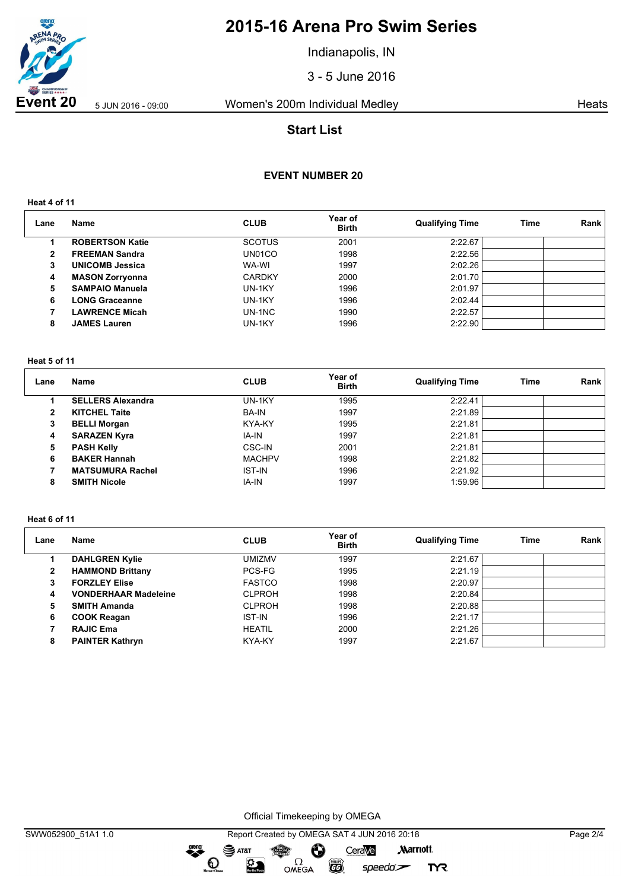

Indianapolis, IN

3 - 5 June 2016

**Event 20** 5 Jun 2016 - 09:00 Women's 200m Individual Medley Heats

# **Start List**

### **EVENT NUMBER 20**

**Heat 4 of 11**

| Lane | Name                   | <b>CLUB</b>   | Year of<br><b>Birth</b> | <b>Qualifying Time</b> | Time | Rank |
|------|------------------------|---------------|-------------------------|------------------------|------|------|
|      | <b>ROBERTSON Katie</b> | <b>SCOTUS</b> | 2001                    | 2:22.67                |      |      |
| 2    | <b>FREEMAN Sandra</b>  | UN01CO        | 1998                    | 2:22.56                |      |      |
| 3    | <b>UNICOMB Jessica</b> | WA-WI         | 1997                    | 2:02.26                |      |      |
| 4    | <b>MASON Zorryonna</b> | <b>CARDKY</b> | 2000                    | 2:01.70                |      |      |
| 5    | <b>SAMPAIO Manuela</b> | UN-1KY        | 1996                    | 2:01.97                |      |      |
| 6    | <b>LONG Graceanne</b>  | UN-1KY        | 1996                    | 2:02.44                |      |      |
|      | <b>LAWRENCE Micah</b>  | UN-1NC        | 1990                    | 2:22.57                |      |      |
| 8    | <b>JAMES Lauren</b>    | UN-1KY        | 1996                    | 2:22.90                |      |      |

#### **Heat 5 of 11**

| Lane | Name                     | <b>CLUB</b>   | Year of<br><b>Birth</b> | <b>Qualifying Time</b> | Time | Rank |
|------|--------------------------|---------------|-------------------------|------------------------|------|------|
|      | <b>SELLERS Alexandra</b> | UN-1KY        | 1995                    | 2:22.41                |      |      |
| 2    | <b>KITCHEL Taite</b>     | <b>BA-IN</b>  | 1997                    | 2:21.89                |      |      |
| 3    | <b>BELLI Morgan</b>      | <b>KYA-KY</b> | 1995                    | 2:21.81                |      |      |
| 4    | <b>SARAZEN Kyra</b>      | IA-IN         | 1997                    | 2:21.81                |      |      |
| 5    | <b>PASH Kelly</b>        | <b>CSC-IN</b> | 2001                    | 2:21.81                |      |      |
| 6    | <b>BAKER Hannah</b>      | <b>MACHPV</b> | 1998                    | 2:21.82                |      |      |
|      | <b>MATSUMURA Rachel</b>  | <b>IST-IN</b> | 1996                    | 2:21.92                |      |      |
| 8    | <b>SMITH Nicole</b>      | IA-IN         | 1997                    | 1:59.96                |      |      |

#### **Heat 6 of 11**

| Lane           | Name                        | <b>CLUB</b>   | Year of<br><b>Birth</b> | <b>Qualifying Time</b> | Time | Rank |
|----------------|-----------------------------|---------------|-------------------------|------------------------|------|------|
|                | <b>DAHLGREN Kylie</b>       | <b>UMIZMV</b> | 1997                    | 2:21.67                |      |      |
| $\overline{2}$ | <b>HAMMOND Brittany</b>     | PCS-FG        | 1995                    | 2:21.19                |      |      |
| 3              | <b>FORZLEY Elise</b>        | <b>FASTCO</b> | 1998                    | 2:20.97                |      |      |
| 4              | <b>VONDERHAAR Madeleine</b> | <b>CLPROH</b> | 1998                    | 2:20.84                |      |      |
| 5              | <b>SMITH Amanda</b>         | <b>CLPROH</b> | 1998                    | 2:20.88                |      |      |
| 6              | <b>COOK Reagan</b>          | <b>IST-IN</b> | 1996                    | 2:21.17                |      |      |
|                | <b>RAJIC Ema</b>            | <b>HEATIL</b> | 2000                    | 2:21.26                |      |      |
| 8              | <b>PAINTER Kathryn</b>      | KYA-KY        | 1997                    | 2:21.67                |      |      |

Official Timekeeping by OMEGA

dreng:

 $\mathbf{O}$ 

 $\mathfrak{D}$ 

SWW052900\_51A1 1.0 Report Created by OMEGA SAT 4 JUN 2016 20:18 Page 2/4SAT&T CeraVe **Marriott** Ô OMEGA

 $\overline{G}$ 

 $speedo$ 

**TYR**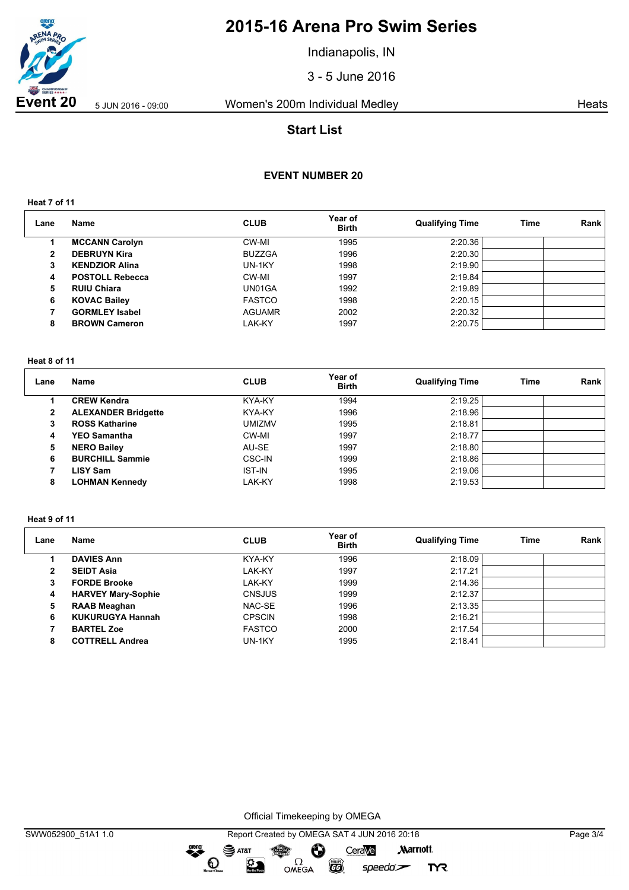

Indianapolis, IN

3 - 5 June 2016

**Event 20** 5 Jun 2016 - 09:00 Women's 200m Individual Medley Heats

# **Start List**

## **EVENT NUMBER 20**

**Heat 7 of 11**

| Lane | Name                   | <b>CLUB</b>   | Year of<br><b>Birth</b> | <b>Qualifying Time</b> | <b>Time</b> | Rank |
|------|------------------------|---------------|-------------------------|------------------------|-------------|------|
|      | <b>MCCANN Carolyn</b>  | CW-MI         | 1995                    | 2:20.36                |             |      |
| 2    | <b>DEBRUYN Kira</b>    | <b>BUZZGA</b> | 1996                    | 2:20.30                |             |      |
| 3    | <b>KENDZIOR Alina</b>  | UN-1KY        | 1998                    | 2:19.90                |             |      |
| 4    | <b>POSTOLL Rebecca</b> | CW-MI         | 1997                    | 2:19.84                |             |      |
| 5    | <b>RUIU Chiara</b>     | UN01GA        | 1992                    | 2:19.89                |             |      |
| 6    | <b>KOVAC Bailey</b>    | <b>FASTCO</b> | 1998                    | 2:20.15                |             |      |
|      | <b>GORMLEY Isabel</b>  | <b>AGUAMR</b> | 2002                    | 2:20.32                |             |      |
| 8    | <b>BROWN Cameron</b>   | LAK-KY        | 1997                    | 2:20.75                |             |      |

#### **Heat 8 of 11**

| Lane         | Name                       | <b>CLUB</b>   | Year of<br><b>Birth</b> | <b>Qualifying Time</b> | <b>Time</b> | Rank |
|--------------|----------------------------|---------------|-------------------------|------------------------|-------------|------|
|              | <b>CREW Kendra</b>         | KYA-KY        | 1994                    | 2:19.25                |             |      |
| $\mathbf{2}$ | <b>ALEXANDER Bridgette</b> | KYA-KY        | 1996                    | 2:18.96                |             |      |
| 3            | <b>ROSS Katharine</b>      | <b>UMIZMV</b> | 1995                    | 2:18.81                |             |      |
| 4            | <b>YEO Samantha</b>        | CW-MI         | 1997                    | 2:18.77                |             |      |
| 5            | <b>NERO Bailey</b>         | AU-SE         | 1997                    | 2:18.80                |             |      |
| 6            | <b>BURCHILL Sammie</b>     | CSC-IN        | 1999                    | 2:18.86                |             |      |
|              | <b>LISY Sam</b>            | <b>IST-IN</b> | 1995                    | 2:19.06                |             |      |
| 8            | <b>LOHMAN Kennedy</b>      | LAK-KY        | 1998                    | 2:19.53                |             |      |

#### **Heat 9 of 11**

| Lane | Name                      | <b>CLUB</b>   | Year of<br><b>Birth</b> | <b>Qualifying Time</b> | Time | Rank |
|------|---------------------------|---------------|-------------------------|------------------------|------|------|
|      | <b>DAVIES Ann</b>         | KYA-KY        | 1996                    | 2:18.09                |      |      |
|      | <b>SEIDT Asia</b>         | LAK-KY        | 1997                    | 2:17.21                |      |      |
| 3    | <b>FORDE Brooke</b>       | LAK-KY        | 1999                    | 2:14.36                |      |      |
| 4    | <b>HARVEY Mary-Sophie</b> | <b>CNSJUS</b> | 1999                    | 2:12.37                |      |      |
| 5    | <b>RAAB Meaghan</b>       | NAC-SE        | 1996                    | 2:13.35                |      |      |
| 6    | <b>KUKURUGYA Hannah</b>   | <b>CPSCIN</b> | 1998                    | 2:16.21                |      |      |
|      | <b>BARTEL Zoe</b>         | <b>FASTCO</b> | 2000                    | 2:17.54                |      |      |
| 8    | <b>COTTRELL Andrea</b>    | UN-1KY        | 1995                    | 2:18.41                |      |      |

Official Timekeeping by OMEGA

dreng: